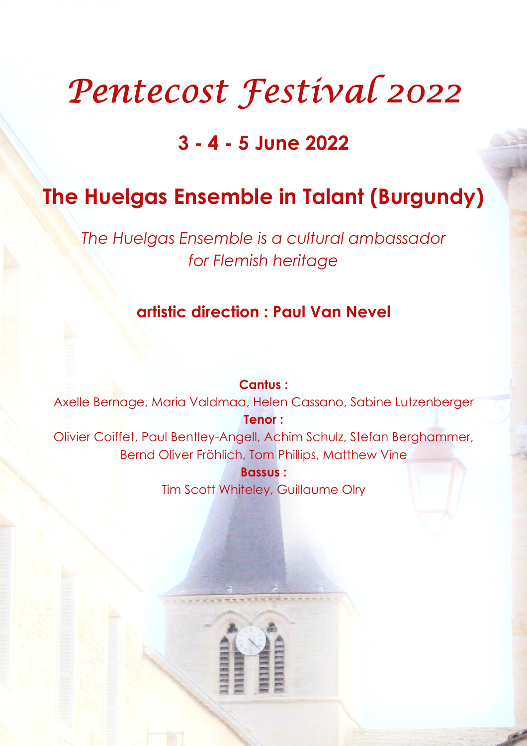# Pentecost Festival 2022

# 3 - 4 - 5 June 2022

# The Huelgas Ensemble in Talant (Burgundy)

The Huelgas Ensemble is a cultural ambassador for Flemish heritage

# artistic direction : Paul Van Nevel

Cantus : Axelle Bernage, Maria Valdmaa, Helen Cassano, Sabine Lutzenberger Tenor : Olivier Coiffet, Paul Bentley-Angell, Achim Schulz, Stefan Berghammer, Bernd Oliver Fröhlich, Tom Phillips, Matthew Vine Bassus : Tim Scott Whiteley, Guillaume Olry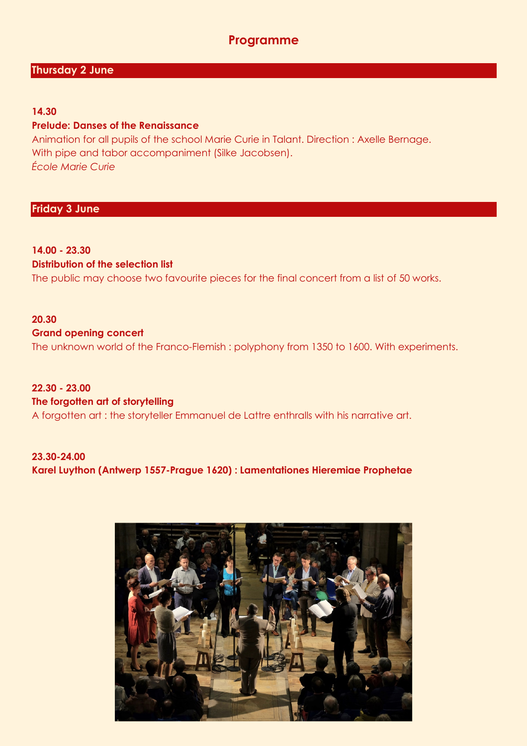### Programme

#### Thursday 2 June

#### 14.30

#### Prelude: Danses of the Renaissance

Animation for all pupils of the school Marie Curie in Talant. Direction : Axelle Bernage. With pipe and tabor accompaniment (Silke Jacobsen). École Marie Curie

#### Friday 3 June

# 14.00 - 23.30

### Distribution of the selection list

The public may choose two favourite pieces for the final concert from a list of 50 works.

#### 20.30

#### Grand opening concert

The unknown world of the Franco-Flemish : polyphony from 1350 to 1600. With experiments.

#### 22.30 - 23.00

#### The forgotten art of storytelling

A forgotten art : the storyteller Emmanuel de Lattre enthralls with his narrative art.

#### 23.30-24.00 Karel Luython (Antwerp 1557-Prague 1620) : Lamentationes Hieremiae Prophetae

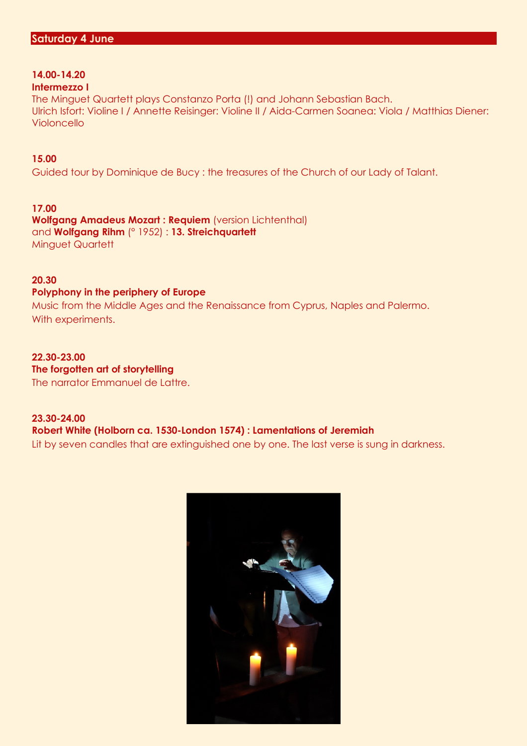# 14.00-14.20

#### Intermezzo I

The Minguet Quartett plays Constanzo Porta (!) and Johann Sebastian Bach. Ulrich Isfort: Violine I / Annette Reisinger: Violine II / Aida-Carmen Soanea: Viola / Matthias Diener: Violoncello

#### 15.00

Guided tour by Dominique de Bucy : the treasures of the Church of our Lady of Talant.

#### 17.00

Wolfgang Amadeus Mozart: Requiem (version Lichtenthal) and Wolfgang Rihm (° 1952) : 13. Streichquartett Minguet Quartett

#### 20.30

#### Polyphony in the periphery of Europe

Music from the Middle Ages and the Renaissance from Cyprus, Naples and Palermo. With experiments.

#### 22.30-23.00 The forgotten art of storytelling The narrator Emmanuel de Lattre.

#### 23.30-24.00 Robert White (Holborn ca. 1530-London 1574) : Lamentations of Jeremiah Lit by seven candles that are extinguished one by one. The last verse is sung in darkness.